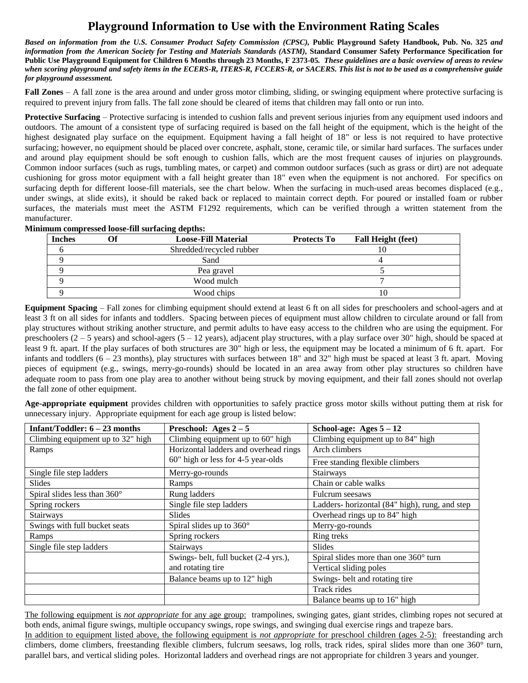## **Playground Information to Use with the Environment Rating Scales**

*Based on information from the U.S. Consumer Product Safety Commission (CPSC),* **Public Playground Safety Handbook, Pub. No. 325** *and*  information from the American Society for Testing and Materials Standards (ASTM), Standard Consumer Safety Performance Specification for **Public Use Playground Equipment for Children 6 Months through 23 Months, F 2373-05***. These guidelines are a basic overview of areas to review when scoring playground and safety items in the ECERS-R, ITERS-R, FCCERS-R, or SACERS. This list is not to be used as a comprehensive guide for playground assessment.*

**Fall Zones** – A fall zone is the area around and under gross motor climbing, sliding, or swinging equipment where protective surfacing is required to prevent injury from falls. The fall zone should be cleared of items that children may fall onto or run into.

**Protective Surfacing** – Protective surfacing is intended to cushion falls and prevent serious injuries from any equipment used indoors and outdoors. The amount of a consistent type of surfacing required is based on the fall height of the equipment, which is the height of the highest designated play surface on the equipment. Equipment having a fall height of 18" or less is not required to have protective surfacing; however, no equipment should be placed over concrete, asphalt, stone, ceramic tile, or similar hard surfaces. The surfaces under and around play equipment should be soft enough to cushion falls, which are the most frequent causes of injuries on playgrounds. Common indoor surfaces (such as rugs, tumbling mates, or carpet) and common outdoor surfaces (such as grass or dirt) are not adequate cushioning for gross motor equipment with a fall height greater than 18" even when the equipment is not anchored. For specifics on surfacing depth for different loose-fill materials, see the chart below. When the surfacing in much-used areas becomes displaced (e.g., under swings, at slide exits), it should be raked back or replaced to maintain correct depth. For poured or installed foam or rubber surfaces, the materials must meet the ASTM F1292 requirements, which can be verified through a written statement from the manufacturer.

| Minimum compressed loose-fill surfacing depths: |  |                            |                    |                           |  |  |  |
|-------------------------------------------------|--|----------------------------|--------------------|---------------------------|--|--|--|
| <b>Inches</b>                                   |  | <b>Loose-Fill Material</b> | <b>Protects To</b> | <b>Fall Height (feet)</b> |  |  |  |
|                                                 |  | Shredded/recycled rubber   |                    |                           |  |  |  |
|                                                 |  | Sand                       |                    |                           |  |  |  |
|                                                 |  | Pea gravel                 |                    |                           |  |  |  |
|                                                 |  | Wood mulch                 |                    |                           |  |  |  |
|                                                 |  | Wood chips                 |                    |                           |  |  |  |

**Equipment Spacing** – Fall zones for climbing equipment should extend at least 6 ft on all sides for preschoolers and school-agers and at least 3 ft on all sides for infants and toddlers. Spacing between pieces of equipment must allow children to circulate around or fall from play structures without striking another structure, and permit adults to have easy access to the children who are using the equipment. For preschoolers  $(2 - 5$  years) and school-agers  $(5 - 12$  years), adjacent play structures, with a play surface over 30" high, should be spaced at least 9 ft. apart. If the play surfaces of both structures are 30" high or less, the equipment may be located a minimum of 6 ft. apart. For infants and toddlers  $(6 - 23 \text{ months})$ , play structures with surfaces between 18" and 32" high must be spaced at least 3 ft. apart. Moving pieces of equipment (e.g., swings, merry-go-rounds) should be located in an area away from other play structures so children have adequate room to pass from one play area to another without being struck by moving equipment, and their fall zones should not overlap the fall zone of other equipment.

**Age-appropriate equipment** provides children with opportunities to safely practice gross motor skills without putting them at risk for unnecessary injury. Appropriate equipment for each age group is listed below:

| Infant/Toddler: $6 - 23$ months   | Preschool: Ages $2-5$                                                  | School-age: Ages $5-12$                        |  |
|-----------------------------------|------------------------------------------------------------------------|------------------------------------------------|--|
| Climbing equipment up to 32" high | Climbing equipment up to 84" high<br>Climbing equipment up to 60" high |                                                |  |
| Ramps                             | Horizontal ladders and overhead rings                                  | Arch climbers                                  |  |
|                                   | 60" high or less for 4-5 year-olds                                     | Free standing flexible climbers                |  |
| Single file step ladders          | Merry-go-rounds                                                        | Stairways                                      |  |
| Slides                            | Ramps                                                                  | Chain or cable walks                           |  |
| Spiral slides less than 360°      | Rung ladders                                                           | Fulcrum seesaws                                |  |
| Spring rockers                    | Single file step ladders                                               | Ladders-horizontal (84" high), rung, and step  |  |
| Stairways                         | <b>Slides</b>                                                          | Overhead rings up to 84" high                  |  |
| Swings with full bucket seats     | Spiral slides up to 360°                                               | Merry-go-rounds                                |  |
| Ramps                             | Spring rockers                                                         | Ring treks                                     |  |
| Single file step ladders          | <b>Stairways</b>                                                       | <b>Slides</b>                                  |  |
|                                   | Swings- belt, full bucket (2-4 yrs.),                                  | Spiral slides more than one $360^{\circ}$ turn |  |
|                                   | and rotating tire                                                      | Vertical sliding poles                         |  |
|                                   | Balance beams up to 12" high                                           | Swings- belt and rotating tire                 |  |
|                                   |                                                                        | Track rides                                    |  |
|                                   |                                                                        | Balance beams up to 16" high                   |  |

The following equipment is *not appropriate* for any age group: trampolines, swinging gates, giant strides, climbing ropes not secured at both ends, animal figure swings, multiple occupancy swings, rope swings, and swinging dual exercise rings and trapeze bars. In addition to equipment listed above, the following equipment is *not appropriate* for preschool children (ages 2-5): freestanding arch climbers, dome climbers, freestanding flexible climbers, fulcrum seesaws, log rolls, track rides, spiral slides more than one 360° turn, parallel bars, and vertical sliding poles. Horizontal ladders and overhead rings are not appropriate for children 3 years and younger.